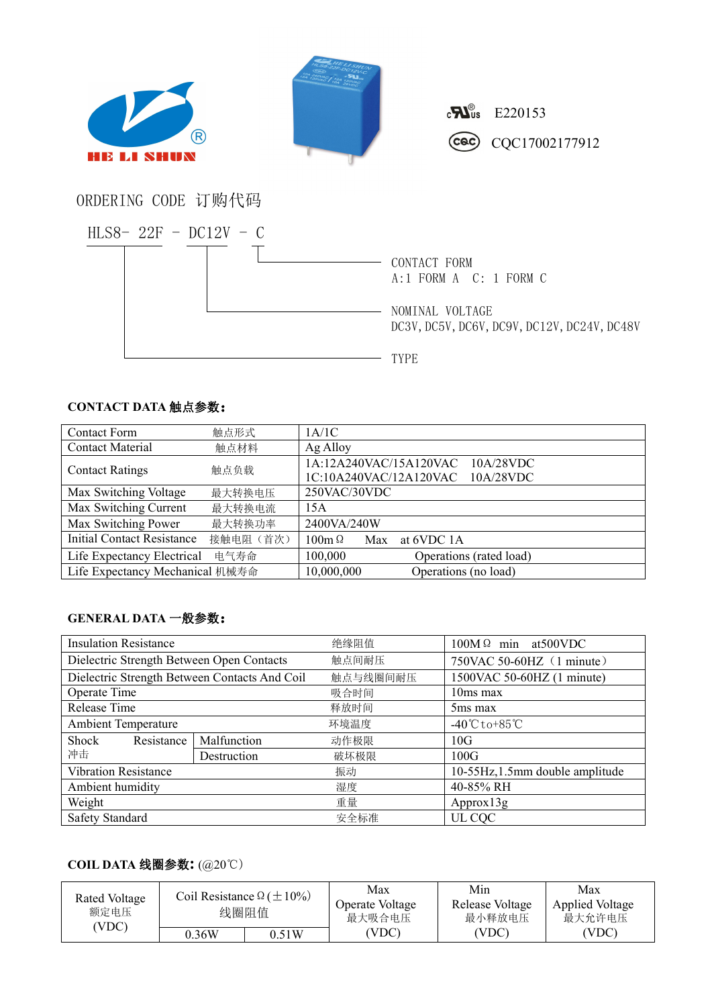



 $c$   $\mathbf{E}^{0}$  E220153 Coc CQC17002177912

## ORDERING CODE 订购代码



## **CONTACT DATA** 触点参数:

| <b>Contact Form</b>             | 触点形式      | 1A/1C                               |
|---------------------------------|-----------|-------------------------------------|
| <b>Contact Material</b>         | 触点材料      | Ag Alloy                            |
| <b>Contact Ratings</b>          | 触点负载      | 1A:12A240VAC/15A120VAC<br>10A/28VDC |
|                                 |           | 1C:10A240VAC/12A120VAC<br>10A/28VDC |
| Max Switching Voltage           | 最大转换电压    | 250VAC/30VDC                        |
| Max Switching Current           | 最大转换电流    | 15A                                 |
| Max Switching Power             | 最大转换功率    | 2400VA/240W                         |
| Initial Contact Resistance      | 接触电阻 (首次) | $100m\Omega$<br>at 6VDC 1A<br>Max   |
| Life Expectancy Electrical      | 电气寿命      | 100,000<br>Operations (rated load)  |
| Life Expectancy Mechanical 机械寿命 |           | 10,000,000<br>Operations (no load)  |

## **GENERAL DATA** 一般参数:

| <b>Insulation Resistance</b>                  |             | 绝缘阻值     | $100M\Omega$ min at 500 VDC         |  |
|-----------------------------------------------|-------------|----------|-------------------------------------|--|
| Dielectric Strength Between Open Contacts     |             | 触点间耐压    | 750VAC 50-60HZ (1 minute)           |  |
| Dielectric Strength Between Contacts And Coil |             | 触点与线圈间耐压 | 1500VAC 50-60HZ (1 minute)          |  |
| Operate Time                                  |             | 吸合时间     | $10ms$ max                          |  |
| Release Time                                  |             | 释放时间     | 5 <sub>ms</sub> max                 |  |
| <b>Ambient Temperature</b>                    |             | 环境温度     | $-40^{\circ}$ C to +85 $^{\circ}$ C |  |
| Shock<br>Resistance                           | Malfunction | 动作极限     | 10G                                 |  |
| 冲击                                            | Destruction | 破坏极限     | 100G                                |  |
| <b>Vibration Resistance</b>                   |             | 振动       | 10-55Hz, 1.5mm double amplitude     |  |
| Ambient humidity                              |             | 湿度       | 40-85% RH                           |  |
| Weight                                        |             | 重量       | Approx13g                           |  |
| Safety Standard                               |             | 安全标准     | UL CQC                              |  |

## **COIL DATA** 线圈参数**:** (@20℃)

| Rated Voltage<br>额定电压<br>(VDC) | Coil Resistance $\Omega (\pm 10\%)$<br>线圈阻值 |       | Max<br>Operate Voltage<br>最大吸合电压 | Min<br>Release Voltage<br>最小释放电压 | Max<br><b>Applied Voltage</b><br>最大允许电压 |  |
|--------------------------------|---------------------------------------------|-------|----------------------------------|----------------------------------|-----------------------------------------|--|
|                                | 0.36W                                       | J.51W | (VDC)                            | (VDC)                            | (VDC)                                   |  |